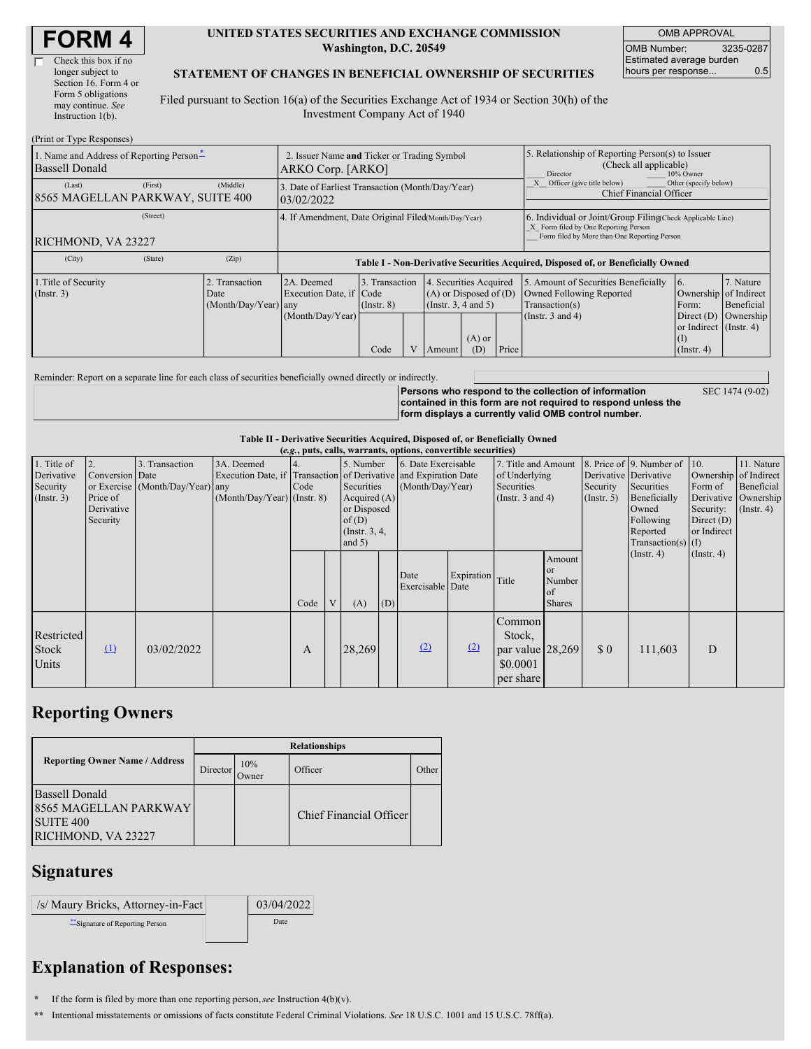| <b>FORM 4</b> |  |
|---------------|--|
|---------------|--|

| Check this box if no  |
|-----------------------|
| longer subject to     |
| Section 16. Form 4 or |
| Form 5 obligations    |
| may continue. See     |
| Instruction $1(b)$ .  |

#### **UNITED STATES SECURITIES AND EXCHANGE COMMISSION Washington, D.C. 20549**

OMB APPROVAL OMB Number: 3235-0287 Estimated average burden hours per response... 0.5

### **STATEMENT OF CHANGES IN BENEFICIAL OWNERSHIP OF SECURITIES**

Filed pursuant to Section 16(a) of the Securities Exchange Act of 1934 or Section 30(h) of the Investment Company Act of 1940

| (Print or Type Responses)                                         |                                                                  |                                                      |                                                                                  |                                   |                                                                              |        |                                                                                                     |                                                                                                                                                    |                                                                                    |                                                                |                         |
|-------------------------------------------------------------------|------------------------------------------------------------------|------------------------------------------------------|----------------------------------------------------------------------------------|-----------------------------------|------------------------------------------------------------------------------|--------|-----------------------------------------------------------------------------------------------------|----------------------------------------------------------------------------------------------------------------------------------------------------|------------------------------------------------------------------------------------|----------------------------------------------------------------|-------------------------|
| 1. Name and Address of Reporting Person-<br><b>Bassell Donald</b> | 2. Issuer Name and Ticker or Trading Symbol<br>ARKO Corp. [ARKO] |                                                      |                                                                                  |                                   |                                                                              |        | 5. Relationship of Reporting Person(s) to Issuer<br>(Check all applicable)<br>Director<br>10% Owner |                                                                                                                                                    |                                                                                    |                                                                |                         |
| (Last)<br>8565 MAGELLAN PARKWAY, SUITE 400                        | 3. Date of Earliest Transaction (Month/Day/Year)<br>03/02/2022   |                                                      |                                                                                  |                                   |                                                                              |        | Other (specify below)<br>Officer (give title below)<br>Chief Financial Officer                      |                                                                                                                                                    |                                                                                    |                                                                |                         |
| RICHMOND, VA 23227                                                |                                                                  | 4. If Amendment, Date Original Filed(Month/Day/Year) |                                                                                  |                                   |                                                                              |        |                                                                                                     | 6. Individual or Joint/Group Filing Check Applicable Line)<br>X Form filed by One Reporting Person<br>Form filed by More than One Reporting Person |                                                                                    |                                                                |                         |
| (City)                                                            | (State)                                                          | (Zip)                                                | Table I - Non-Derivative Securities Acquired, Disposed of, or Beneficially Owned |                                   |                                                                              |        |                                                                                                     |                                                                                                                                                    |                                                                                    |                                                                |                         |
| 1. Title of Security<br>(Insert. 3)                               |                                                                  | 2. Transaction<br>Date<br>(Month/Day/Year) any       | 2A. Deemed<br>Execution Date, if Code                                            | 3. Transaction<br>$($ Instr. $8)$ | 4. Securities Acquired<br>$(A)$ or Disposed of $(D)$<br>(Insert. 3, 4 and 5) |        |                                                                                                     |                                                                                                                                                    | 5. Amount of Securities Beneficially<br>Owned Following Reported<br>Transaction(s) | 6.<br>Ownership of Indirect<br>Form:                           | 7. Nature<br>Beneficial |
|                                                                   |                                                                  |                                                      | (Month/Day/Year)                                                                 | Code                              | V                                                                            | Amount | $(A)$ or<br>(D)                                                                                     | Price                                                                                                                                              | (Instr. $3$ and $4$ )                                                              | Direct $(D)$<br>or Indirect (Instr. 4)<br>(I)<br>$($ Instr. 4) | Ownership               |

Reminder: Report on a separate line for each class of securities beneficially owned directly or indirectly.

**Persons who respond to the collection of information contained in this form are not required to respond unless the form displays a currently valid OMB control number.** SEC 1474 (9-02)

### **Table II - Derivative Securities Acquired, Disposed of, or Beneficially Owned**

| (e.g., puts, calls, warrants, options, convertible securities) |                                                             |                                                    |                                             |      |   |                                                                                                  |     |                                                                                                             |            |                                                                             |                                                          |                                                  |                                                                                                                                               |                                                                                                      |                                           |
|----------------------------------------------------------------|-------------------------------------------------------------|----------------------------------------------------|---------------------------------------------|------|---|--------------------------------------------------------------------------------------------------|-----|-------------------------------------------------------------------------------------------------------------|------------|-----------------------------------------------------------------------------|----------------------------------------------------------|--------------------------------------------------|-----------------------------------------------------------------------------------------------------------------------------------------------|------------------------------------------------------------------------------------------------------|-------------------------------------------|
| 1. Title of<br>Derivative<br>Security<br>$($ Instr. 3 $)$      | 2.<br>Conversion Date<br>Price of<br>Derivative<br>Security | 3. Transaction<br>or Exercise (Month/Day/Year) any | 3A. Deemed<br>$(Month/Day/Year)$ (Instr. 8) | Code |   | 5. Number<br>Securities<br>Acquired $(A)$<br>or Disposed<br>of(D)<br>(Instr. $3, 4,$<br>and $5)$ |     | 6. Date Exercisable<br>Execution Date, if Transaction of Derivative and Expiration Date<br>(Month/Day/Year) |            | 7. Title and Amount<br>of Underlying<br>Securities<br>(Instr. $3$ and $4$ ) |                                                          | Security<br>$($ Instr. 5 $)$                     | 8. Price of 9. Number of 10.<br>Derivative Derivative<br>Securities<br>Beneficially<br>Owned<br>Following<br>Reported<br>Transaction(s) $(I)$ | Ownership of Indirect<br>Form of<br>Derivative Ownership<br>Security:<br>Direct $(D)$<br>or Indirect | 11. Nature<br>Beneficial<br>$($ Instr. 4) |
|                                                                |                                                             |                                                    |                                             | Code | V | (A)                                                                                              | (D) | Date<br>Exercisable Date                                                                                    | Expiration | Title                                                                       | Amount<br><sub>or</sub><br>Number<br>of<br><b>Shares</b> |                                                  | $($ Instr. 4 $)$                                                                                                                              | $($ Instr. 4 $)$                                                                                     |                                           |
| Restricted<br><b>Stock</b><br>Units                            | $\mathbf{u}$                                                | 03/02/2022                                         |                                             | A    |   | 28,269                                                                                           |     | (2)                                                                                                         | (2)        | Common<br>Stock,<br>par value $ 28,269 $<br>\$0.0001<br>per share           |                                                          | $\boldsymbol{\mathsf{S}}\boldsymbol{\mathsf{0}}$ | 111,603                                                                                                                                       | D                                                                                                    |                                           |

### **Reporting Owners**

|                                                                                                 | <b>Relationships</b> |              |                         |       |  |  |  |  |  |
|-------------------------------------------------------------------------------------------------|----------------------|--------------|-------------------------|-------|--|--|--|--|--|
| <b>Reporting Owner Name / Address</b>                                                           | Director             | 10%<br>Owner | Officer                 | Other |  |  |  |  |  |
| <b>Bassell Donald</b><br><b>8565 MAGELLAN PARKWAY</b><br><b>SUITE 400</b><br>RICHMOND, VA 23227 |                      |              | Chief Financial Officer |       |  |  |  |  |  |

## **Signatures**

| /s/ Maury Bricks, Attorney-in-Fact | 03/04/2022 |
|------------------------------------|------------|
| **Signature of Reporting Person    | Date       |

# **Explanation of Responses:**

- **\*** If the form is filed by more than one reporting person,*see* Instruction 4(b)(v).
- **\*\*** Intentional misstatements or omissions of facts constitute Federal Criminal Violations. *See* 18 U.S.C. 1001 and 15 U.S.C. 78ff(a).